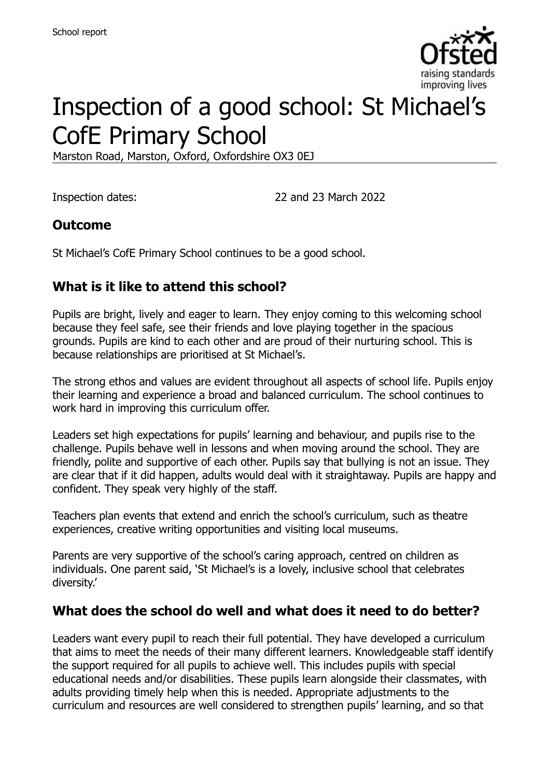

# Inspection of a good school: St Michael's CofE Primary School

Marston Road, Marston, Oxford, Oxfordshire OX3 0EJ

Inspection dates: 22 and 23 March 2022

#### **Outcome**

St Michael's CofE Primary School continues to be a good school.

### **What is it like to attend this school?**

Pupils are bright, lively and eager to learn. They enjoy coming to this welcoming school because they feel safe, see their friends and love playing together in the spacious grounds. Pupils are kind to each other and are proud of their nurturing school. This is because relationships are prioritised at St Michael's.

The strong ethos and values are evident throughout all aspects of school life. Pupils enjoy their learning and experience a broad and balanced curriculum. The school continues to work hard in improving this curriculum offer.

Leaders set high expectations for pupils' learning and behaviour, and pupils rise to the challenge. Pupils behave well in lessons and when moving around the school. They are friendly, polite and supportive of each other. Pupils say that bullying is not an issue. They are clear that if it did happen, adults would deal with it straightaway. Pupils are happy and confident. They speak very highly of the staff.

Teachers plan events that extend and enrich the school's curriculum, such as theatre experiences, creative writing opportunities and visiting local museums.

Parents are very supportive of the school's caring approach, centred on children as individuals. One parent said, 'St Michael's is a lovely, inclusive school that celebrates diversity.'

#### **What does the school do well and what does it need to do better?**

Leaders want every pupil to reach their full potential. They have developed a curriculum that aims to meet the needs of their many different learners. Knowledgeable staff identify the support required for all pupils to achieve well. This includes pupils with special educational needs and/or disabilities. These pupils learn alongside their classmates, with adults providing timely help when this is needed. Appropriate adjustments to the curriculum and resources are well considered to strengthen pupils' learning, and so that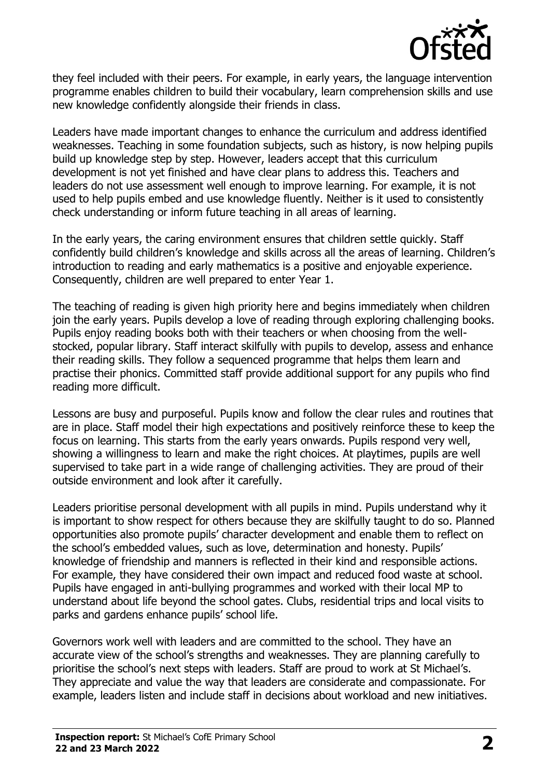

they feel included with their peers. For example, in early years, the language intervention programme enables children to build their vocabulary, learn comprehension skills and use new knowledge confidently alongside their friends in class.

Leaders have made important changes to enhance the curriculum and address identified weaknesses. Teaching in some foundation subjects, such as history, is now helping pupils build up knowledge step by step. However, leaders accept that this curriculum development is not yet finished and have clear plans to address this. Teachers and leaders do not use assessment well enough to improve learning. For example, it is not used to help pupils embed and use knowledge fluently. Neither is it used to consistently check understanding or inform future teaching in all areas of learning.

In the early years, the caring environment ensures that children settle quickly. Staff confidently build children's knowledge and skills across all the areas of learning. Children's introduction to reading and early mathematics is a positive and enjoyable experience. Consequently, children are well prepared to enter Year 1.

The teaching of reading is given high priority here and begins immediately when children join the early years. Pupils develop a love of reading through exploring challenging books. Pupils enjoy reading books both with their teachers or when choosing from the wellstocked, popular library. Staff interact skilfully with pupils to develop, assess and enhance their reading skills. They follow a sequenced programme that helps them learn and practise their phonics. Committed staff provide additional support for any pupils who find reading more difficult.

Lessons are busy and purposeful. Pupils know and follow the clear rules and routines that are in place. Staff model their high expectations and positively reinforce these to keep the focus on learning. This starts from the early years onwards. Pupils respond very well, showing a willingness to learn and make the right choices. At playtimes, pupils are well supervised to take part in a wide range of challenging activities. They are proud of their outside environment and look after it carefully.

Leaders prioritise personal development with all pupils in mind. Pupils understand why it is important to show respect for others because they are skilfully taught to do so. Planned opportunities also promote pupils' character development and enable them to reflect on the school's embedded values, such as love, determination and honesty. Pupils' knowledge of friendship and manners is reflected in their kind and responsible actions. For example, they have considered their own impact and reduced food waste at school. Pupils have engaged in anti-bullying programmes and worked with their local MP to understand about life beyond the school gates. Clubs, residential trips and local visits to parks and gardens enhance pupils' school life.

Governors work well with leaders and are committed to the school. They have an accurate view of the school's strengths and weaknesses. They are planning carefully to prioritise the school's next steps with leaders. Staff are proud to work at St Michael's. They appreciate and value the way that leaders are considerate and compassionate. For example, leaders listen and include staff in decisions about workload and new initiatives.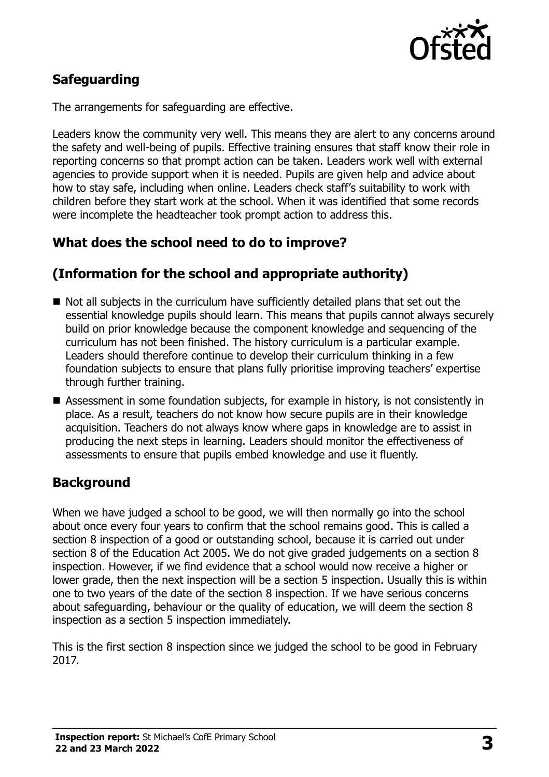

# **Safeguarding**

The arrangements for safeguarding are effective.

Leaders know the community very well. This means they are alert to any concerns around the safety and well-being of pupils. Effective training ensures that staff know their role in reporting concerns so that prompt action can be taken. Leaders work well with external agencies to provide support when it is needed. Pupils are given help and advice about how to stay safe, including when online. Leaders check staff's suitability to work with children before they start work at the school. When it was identified that some records were incomplete the headteacher took prompt action to address this.

# **What does the school need to do to improve?**

# **(Information for the school and appropriate authority)**

- $\blacksquare$  Not all subjects in the curriculum have sufficiently detailed plans that set out the essential knowledge pupils should learn. This means that pupils cannot always securely build on prior knowledge because the component knowledge and sequencing of the curriculum has not been finished. The history curriculum is a particular example. Leaders should therefore continue to develop their curriculum thinking in a few foundation subjects to ensure that plans fully prioritise improving teachers' expertise through further training.
- Assessment in some foundation subjects, for example in history, is not consistently in place. As a result, teachers do not know how secure pupils are in their knowledge acquisition. Teachers do not always know where gaps in knowledge are to assist in producing the next steps in learning. Leaders should monitor the effectiveness of assessments to ensure that pupils embed knowledge and use it fluently.

# **Background**

When we have judged a school to be good, we will then normally go into the school about once every four years to confirm that the school remains good. This is called a section 8 inspection of a good or outstanding school, because it is carried out under section 8 of the Education Act 2005. We do not give graded judgements on a section 8 inspection. However, if we find evidence that a school would now receive a higher or lower grade, then the next inspection will be a section 5 inspection. Usually this is within one to two years of the date of the section 8 inspection. If we have serious concerns about safeguarding, behaviour or the quality of education, we will deem the section 8 inspection as a section 5 inspection immediately.

This is the first section 8 inspection since we judged the school to be good in February 2017.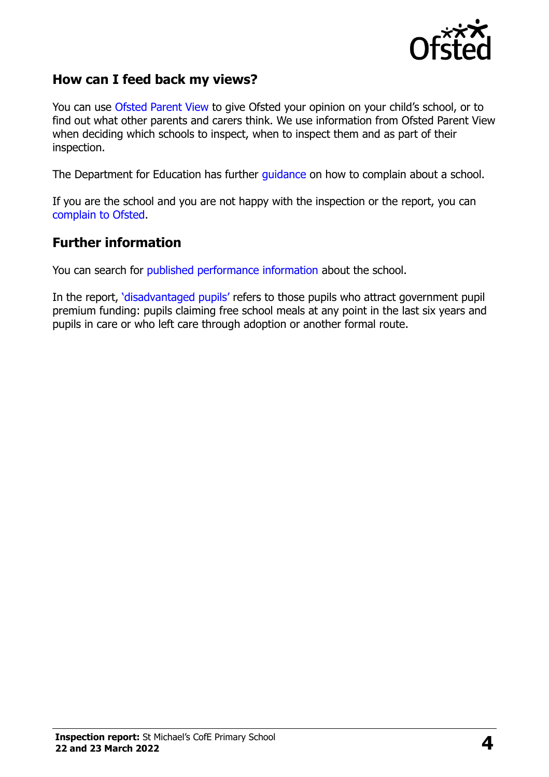

#### **How can I feed back my views?**

You can use [Ofsted Parent View](https://parentview.ofsted.gov.uk/) to give Ofsted your opinion on your child's school, or to find out what other parents and carers think. We use information from Ofsted Parent View when deciding which schools to inspect, when to inspect them and as part of their inspection.

The Department for Education has further [guidance](http://www.gov.uk/complain-about-school) on how to complain about a school.

If you are the school and you are not happy with the inspection or the report, you can [complain to Ofsted.](https://www.gov.uk/complain-ofsted-report)

#### **Further information**

You can search for [published performance information](http://www.compare-school-performance.service.gov.uk/) about the school.

In the report, '[disadvantaged pupils](http://www.gov.uk/guidance/pupil-premium-information-for-schools-and-alternative-provision-settings)' refers to those pupils who attract government pupil premium funding: pupils claiming free school meals at any point in the last six years and pupils in care or who left care through adoption or another formal route.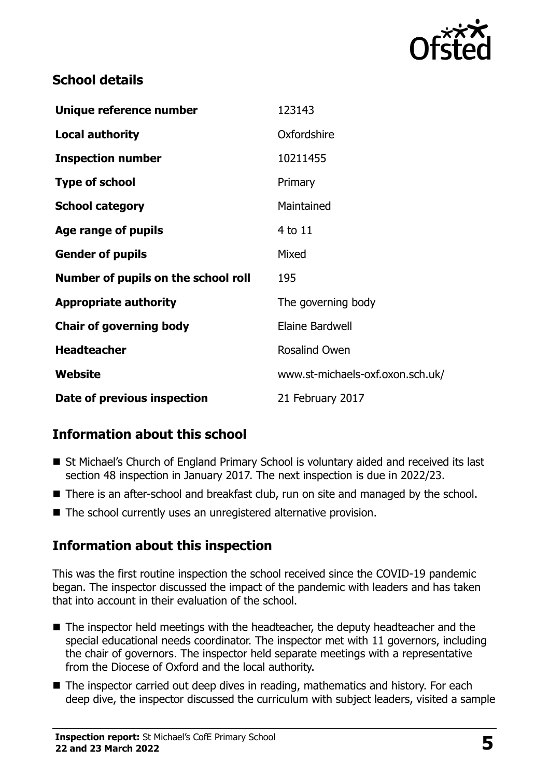

### **School details**

| Unique reference number             | 123143                           |
|-------------------------------------|----------------------------------|
| <b>Local authority</b>              | Oxfordshire                      |
| <b>Inspection number</b>            | 10211455                         |
| <b>Type of school</b>               | Primary                          |
| <b>School category</b>              | Maintained                       |
| Age range of pupils                 | 4 to 11                          |
| <b>Gender of pupils</b>             | Mixed                            |
| Number of pupils on the school roll | 195                              |
| <b>Appropriate authority</b>        | The governing body               |
| <b>Chair of governing body</b>      | Elaine Bardwell                  |
| <b>Headteacher</b>                  | <b>Rosalind Owen</b>             |
| Website                             | www.st-michaels-oxf.oxon.sch.uk/ |
| Date of previous inspection         | 21 February 2017                 |

# **Information about this school**

- St Michael's Church of England Primary School is voluntary aided and received its last section 48 inspection in January 2017. The next inspection is due in 2022/23.
- There is an after-school and breakfast club, run on site and managed by the school.
- The school currently uses an unregistered alternative provision.

#### **Information about this inspection**

This was the first routine inspection the school received since the COVID-19 pandemic began. The inspector discussed the impact of the pandemic with leaders and has taken that into account in their evaluation of the school.

- The inspector held meetings with the headteacher, the deputy headteacher and the special educational needs coordinator. The inspector met with 11 governors, including the chair of governors. The inspector held separate meetings with a representative from the Diocese of Oxford and the local authority.
- The inspector carried out deep dives in reading, mathematics and history. For each deep dive, the inspector discussed the curriculum with subject leaders, visited a sample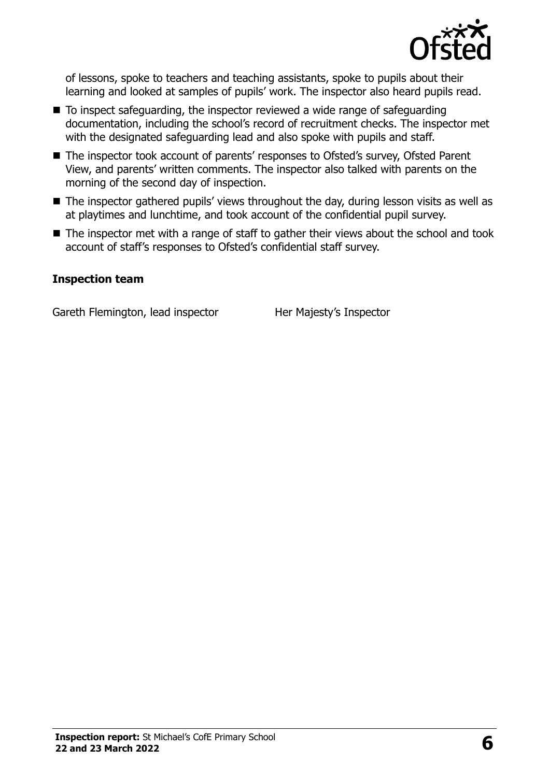

of lessons, spoke to teachers and teaching assistants, spoke to pupils about their learning and looked at samples of pupils' work. The inspector also heard pupils read.

- To inspect safeguarding, the inspector reviewed a wide range of safeguarding documentation, including the school's record of recruitment checks. The inspector met with the designated safeguarding lead and also spoke with pupils and staff.
- The inspector took account of parents' responses to Ofsted's survey, Ofsted Parent View, and parents' written comments. The inspector also talked with parents on the morning of the second day of inspection.
- The inspector gathered pupils' views throughout the day, during lesson visits as well as at playtimes and lunchtime, and took account of the confidential pupil survey.
- The inspector met with a range of staff to gather their views about the school and took account of staff's responses to Ofsted's confidential staff survey.

#### **Inspection team**

Gareth Flemington, lead inspector Her Majesty's Inspector